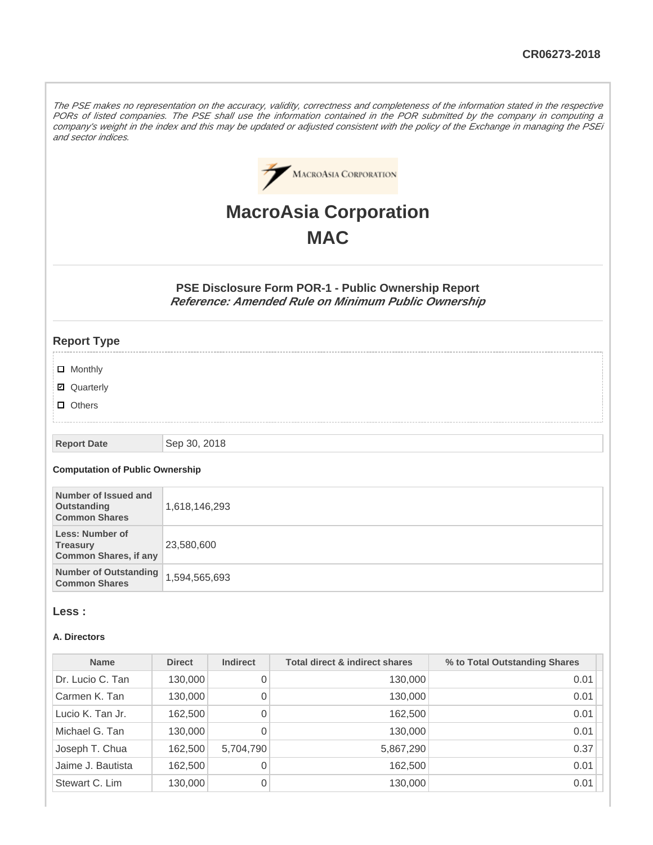The PSE makes no representation on the accuracy, validity, correctness and completeness of the information stated in the respective PORs of listed companies. The PSE shall use the information contained in the POR submitted by the company in computing a company's weight in the index and this may be updated or adjusted consistent with the policy of the Exchange in managing the PSEi and sector indices.



# **MacroAsia Corporation MAC**

**PSE Disclosure Form POR-1 - Public Ownership Report Reference: Amended Rule on Minimum Public Ownership**

# **Report Type**

- **D** Monthly
- Quarterly
- **D** Others

#### **Report Date** Sep 30, 2018

#### **Computation of Public Ownership**

| Number of Issued and<br>Outstanding<br><b>Common Shares</b>               | 1,618,146,293 |
|---------------------------------------------------------------------------|---------------|
| <b>Less: Number of</b><br><b>Treasury</b><br><b>Common Shares, if any</b> | 23,580,600    |
| Number of Outstanding<br><b>Common Shares</b>                             | 1,594,565,693 |

#### **Less :**

#### **A. Directors**

| <b>Name</b>       | <b>Direct</b> | <b>Indirect</b> | <b>Total direct &amp; indirect shares</b> | % to Total Outstanding Shares |
|-------------------|---------------|-----------------|-------------------------------------------|-------------------------------|
| Dr. Lucio C. Tan  | 130,000       | 0               | 130,000                                   | 0.01                          |
| Carmen K. Tan     | 130,000       | 0               | 130,000                                   | 0.01                          |
| Lucio K. Tan Jr.  | 162,500       | 0               | 162,500                                   | 0.01                          |
| Michael G. Tan    | 130,000       | 0               | 130,000                                   | 0.01                          |
| Joseph T. Chua    | 162,500       | 5,704,790       | 5,867,290                                 | 0.37                          |
| Jaime J. Bautista | 162,500       | 0               | 162,500                                   | 0.01                          |
| Stewart C. Lim    | 130,000       | 0               | 130,000                                   | 0.01                          |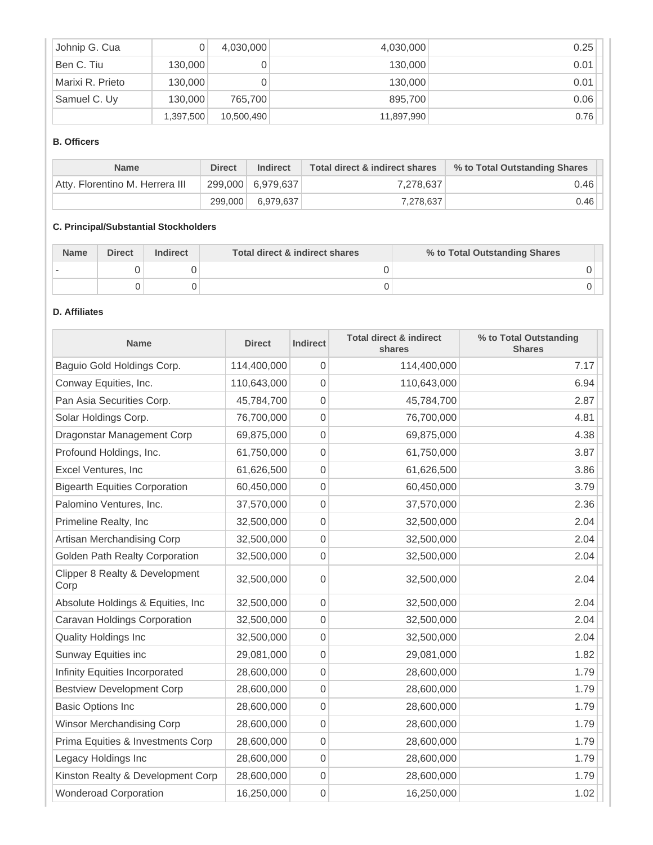| Johnip G. Cua    |           | 4,030,000  | 4,030,000  | 0.25 |
|------------------|-----------|------------|------------|------|
| Ben C. Tiu       | 130,000   |            | 130,000    | 0.01 |
| Marixi R. Prieto | 130,000   |            | 130,000    | 0.01 |
| Samuel C. Uy     | 130,000   | 765,700    | 895,700    | 0.06 |
|                  | 1,397,500 | 10,500,490 | 11,897,990 | 0.76 |

# **B. Officers**

| <b>Name</b>                     | <b>Direct</b> | <b>Indirect</b>   | Total direct & indirect shares | % to Total Outstanding Shares |
|---------------------------------|---------------|-------------------|--------------------------------|-------------------------------|
| Atty, Florentino M. Herrera III |               | 299,000 6,979,637 | 7,278,637                      | 0.46                          |
|                                 | 299,000       | 6.979.637         | 7.278.637                      | 0.46                          |

# **C. Principal/Substantial Stockholders**

| <b>Name</b> | <b>Direct</b> | Indirect | Total direct & indirect shares | % to Total Outstanding Shares |
|-------------|---------------|----------|--------------------------------|-------------------------------|
|             |               |          |                                |                               |
|             |               |          |                                |                               |

# **D. Affiliates**

| <b>Name</b>                            | <b>Direct</b> | Indirect       | <b>Total direct &amp; indirect</b><br>shares | % to Total Outstanding<br><b>Shares</b> |
|----------------------------------------|---------------|----------------|----------------------------------------------|-----------------------------------------|
| Baguio Gold Holdings Corp.             | 114,400,000   | $\overline{0}$ | 114,400,000                                  | 7.17                                    |
| Conway Equities, Inc.                  | 110,643,000   | 0              | 110,643,000                                  | 6.94                                    |
| Pan Asia Securities Corp.              | 45,784,700    | $\mathbf 0$    | 45,784,700                                   | 2.87                                    |
| Solar Holdings Corp.                   | 76,700,000    | 0              | 76,700,000                                   | 4.81                                    |
| Dragonstar Management Corp             | 69,875,000    | 0              | 69,875,000                                   | 4.38                                    |
| Profound Holdings, Inc.                | 61,750,000    | $\overline{0}$ | 61,750,000                                   | 3.87                                    |
| Excel Ventures, Inc                    | 61,626,500    | 0              | 61,626,500                                   | 3.86                                    |
| <b>Bigearth Equities Corporation</b>   | 60,450,000    | $\mathbf 0$    | 60,450,000                                   | 3.79                                    |
| Palomino Ventures, Inc.                | 37,570,000    | $\overline{0}$ | 37,570,000                                   | 2.36                                    |
| Primeline Realty, Inc                  | 32,500,000    | 0              | 32,500,000                                   | 2.04                                    |
| Artisan Merchandising Corp             | 32,500,000    | $\overline{0}$ | 32,500,000                                   | 2.04                                    |
| Golden Path Realty Corporation         | 32,500,000    | 0              | 32,500,000                                   | 2.04                                    |
| Clipper 8 Realty & Development<br>Corp | 32,500,000    | 0              | 32,500,000                                   | 2.04                                    |
| Absolute Holdings & Equities, Inc.     | 32,500,000    | $\mathbf 0$    | 32,500,000                                   | 2.04                                    |
| Caravan Holdings Corporation           | 32,500,000    | 0              | 32,500,000                                   | 2.04                                    |
| <b>Quality Holdings Inc</b>            | 32,500,000    | $\overline{0}$ | 32,500,000                                   | 2.04                                    |
| Sunway Equities inc                    | 29,081,000    | 0              | 29,081,000                                   | 1.82                                    |
| Infinity Equities Incorporated         | 28,600,000    | $\mathbf 0$    | 28,600,000                                   | 1.79                                    |
| <b>Bestview Development Corp</b>       | 28,600,000    | $\mathbf 0$    | 28,600,000                                   | 1.79                                    |
| <b>Basic Options Inc</b>               | 28,600,000    | 0              | 28,600,000                                   | 1.79                                    |
| Winsor Merchandising Corp              | 28,600,000    | 0              | 28,600,000                                   | 1.79                                    |
| Prima Equities & Investments Corp      | 28,600,000    | $\overline{0}$ | 28,600,000                                   | 1.79                                    |
| Legacy Holdings Inc                    | 28,600,000    | 0              | 28,600,000                                   | 1.79                                    |
| Kinston Realty & Development Corp      | 28,600,000    | $\overline{0}$ | 28,600,000                                   | 1.79                                    |
| <b>Wonderoad Corporation</b>           | 16,250,000    | 0              | 16,250,000                                   | 1.02                                    |